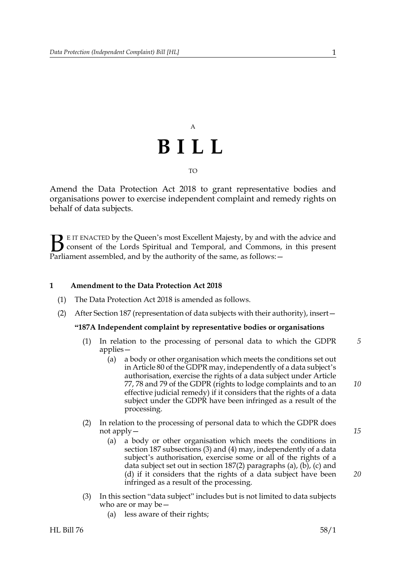## A **BILL** TO

Amend the Data Protection Act 2018 to grant representative bodies and organisations power to exercise independent complaint and remedy rights on behalf of data subjects.

E IT ENACTED by the Queen's most Excellent Majesty, by and with the advice and consent of the Lords Spiritual and Temporal, and Commons, in this present Parliament assembled, and by the authority of the same, as follows:  $\mathbf{B}_{\text{e}$ 

#### **1 Amendment to the Data Protection Act 2018**

- (1) The Data Protection Act 2018 is amended as follows.
- (2) After Section 187 (representation of data subjects with their authority), insert—

#### **"187A Independent complaint by representative bodies or organisations**

- (1) In relation to the processing of personal data to which the GDPR applies— *5*
	- (a) a body or other organisation which meets the conditions set out in Article 80 of the GDPR may, independently of a data subject's authorisation, exercise the rights of a data subject under Article 77, 78 and 79 of the GDPR (rights to lodge complaints and to an effective judicial remedy) if it considers that the rights of a data subject under the GDPR have been infringed as a result of the processing.
- (2) In relation to the processing of personal data to which the GDPR does not apply—
	- (a) a body or other organisation which meets the conditions in section 187 subsections (3) and (4) may, independently of a data subject's authorisation, exercise some or all of the rights of a data subject set out in section 187(2) paragraphs (a), (b), (c) and (d) if it considers that the rights of a data subject have been infringed as a result of the processing.
- (3) In this section "data subject" includes but is not limited to data subjects who are or may be—
	- (a) less aware of their rights;

*20*

*10*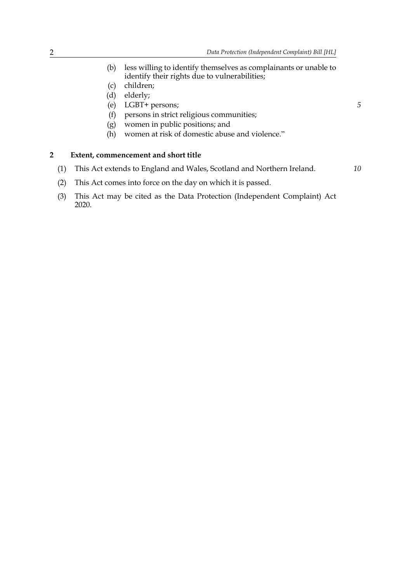- (b) less willing to identify themselves as complainants or unable to identify their rights due to vulnerabilities;
- (c) children;
- (d) elderly;
- (e) LGBT+ persons;
- (f) persons in strict religious communities;
- (g) women in public positions; and
- (h) women at risk of domestic abuse and violence."

#### **2 Extent, commencement and short title**

(1) This Act extends to England and Wales, Scotland and Northern Ireland.

*10*

*5*

- (2) This Act comes into force on the day on which it is passed.
- (3) This Act may be cited as the Data Protection (Independent Complaint) Act 2020.